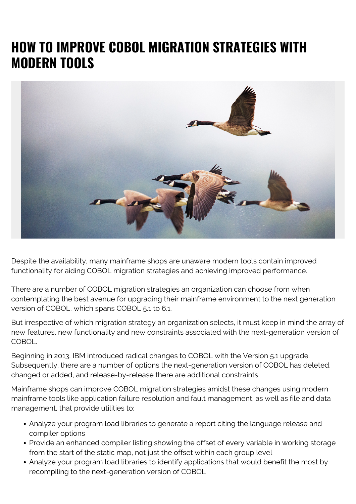## **HOW TO IMPROVE COBOL MIGRATION STRATEGIES WITH MODERN TOOLS**



Despite the availability, many mainframe shops are unaware modern tools contain improved functionality for aiding COBOL migration strategies and achieving improved performance.

There are a number of COBOL migration strategies an organization can choose from when contemplating the best avenue for upgrading their mainframe environment to the next generation version of COBOL, which spans COBOL 5.1 to 6.1.

But irrespective of which migration strategy an organization selects, it must keep in mind the array of new features, new functionality and new constraints associated with the next-generation version of COBOL.

Beginning in 2013, IBM introduced radical changes to COBOL with the Version 5.1 upgrade. Subsequently, there are a number of options the next-generation version of COBOL has deleted, changed or added, and release-by-release there are additional constraints.

Mainframe shops can improve COBOL migration strategies amidst these changes using modern mainframe tools like application failure resolution and fault management, as well as file and data management, that provide utilities to:

- Analyze your program load libraries to generate a report citing the language release and compiler options
- Provide an enhanced compiler listing showing the offset of every variable in working storage from the start of the static map, not just the offset within each group level
- Analyze your program load libraries to identify applications that would benefit the most by recompiling to the next-generation version of COBOL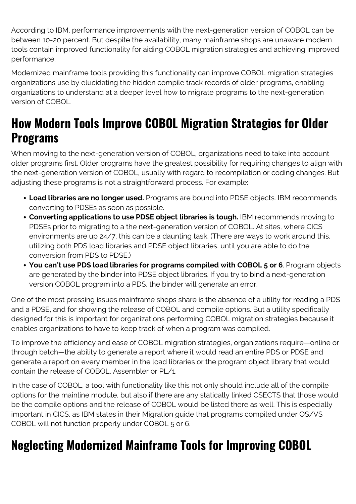According to IBM, performance improvements with the next-generation version of COBOL can be between 10-20 percent. But despite the availability, many mainframe shops are unaware modern tools contain improved functionality for aiding COBOL migration strategies and achieving improved performance.

Modernized mainframe tools providing this functionality can improve COBOL migration strategies organizations use by elucidating the hidden compile track records of older programs, enabling organizations to understand at a deeper level how to migrate programs to the next-generation version of COBOL.

## **How Modern Tools Improve COBOL Migration Strategies for Older Programs**

When moving to the next-generation version of COBOL, organizations need to take into account older programs first. Older programs have the greatest possibility for requiring changes to align with the next-generation version of COBOL, usually with regard to recompilation or coding changes. But adjusting these programs is not a straightforward process. For example:

- **Load libraries are no longer used.** Programs are bound into PDSE objects. IBM recommends converting to PDSEs as soon as possible.
- **Converting applications to use PDSE object libraries is tough.** IBM recommends moving to PDSEs prior to migrating to a the next-generation version of COBOL. At sites, where CICS environments are up 24/7, this can be a daunting task. (There are ways to work around this, utilizing both PDS load libraries and PDSE object libraries, until you are able to do the conversion from PDS to PDSE.)
- **You can't use PDS load libraries for programs compiled with COBOL 5 or 6**. Program objects are generated by the binder into PDSE object libraries. If you try to bind a next-generation version COBOL program into a PDS, the binder will generate an error.

One of the most pressing issues mainframe shops share is the absence of a utility for reading a PDS and a PDSE, and for showing the release of COBOL and compile options. But a utility specifically designed for this is important for organizations performing COBOL migration strategies because it enables organizations to have to keep track of when a program was compiled.

To improve the efficiency and ease of COBOL migration strategies, organizations require—online or through batch—the ability to generate a report where it would read an entire PDS or PDSE and generate a report on every member in the load libraries or the program object library that would contain the release of COBOL, Assembler or PL/1.

In the case of COBOL, a tool with functionality like this not only should include all of the compile options for the mainline module, but also if there are any statically linked CSECTS that those would be the compile options and the release of COBOL would be listed there as well. This is especially important in CICS, as IBM states in their Migration guide that programs compiled under OS/VS COBOL will not function properly under COBOL 5 or 6.

## **Neglecting Modernized Mainframe Tools for Improving COBOL**